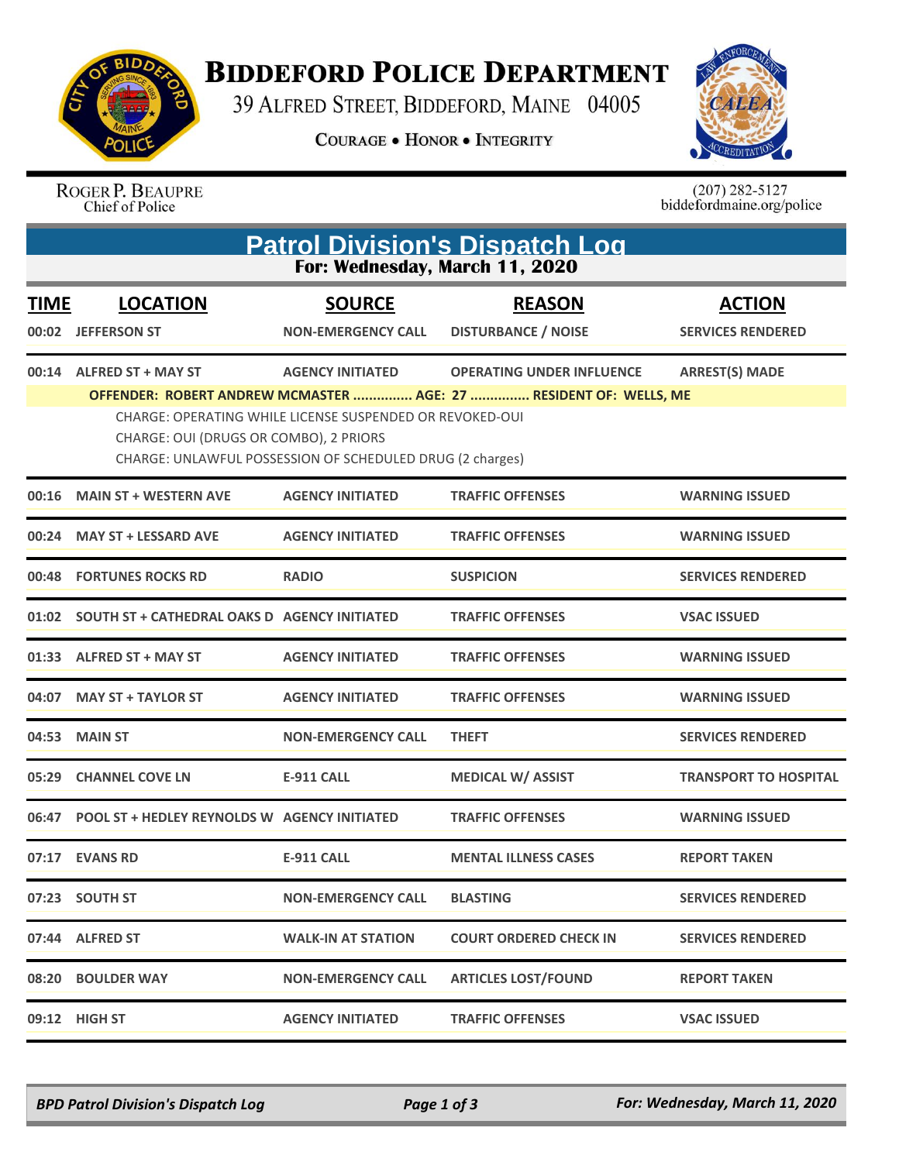

**BIDDEFORD POLICE DEPARTMENT** 

39 ALFRED STREET, BIDDEFORD, MAINE 04005

**COURAGE . HONOR . INTEGRITY** 



ROGER P. BEAUPRE<br>Chief of Police

 $(207)$  282-5127<br>biddefordmaine.org/police

| <b>Patrol Division's Dispatch Log</b><br>For: Wednesday, March 11, 2020 |                                                                    |                                                                                      |                                                                                                       |                                           |  |  |  |
|-------------------------------------------------------------------------|--------------------------------------------------------------------|--------------------------------------------------------------------------------------|-------------------------------------------------------------------------------------------------------|-------------------------------------------|--|--|--|
| <b>TIME</b><br>00:02                                                    | <b>LOCATION</b><br><b>JEFFERSON ST</b>                             | <b>SOURCE</b><br><b>NON-EMERGENCY CALL</b>                                           | <b>REASON</b><br><b>DISTURBANCE / NOISE</b>                                                           | <b>ACTION</b><br><b>SERVICES RENDERED</b> |  |  |  |
|                                                                         | 00:14 ALFRED ST + MAY ST<br>CHARGE: OUI (DRUGS OR COMBO), 2 PRIORS | <b>AGENCY INITIATED</b><br>CHARGE: OPERATING WHILE LICENSE SUSPENDED OR REVOKED-OUI  | <b>OPERATING UNDER INFLUENCE</b><br>OFFENDER: ROBERT ANDREW MCMASTER  AGE: 27  RESIDENT OF: WELLS, ME | <b>ARREST(S) MADE</b>                     |  |  |  |
| 00:16                                                                   | <b>MAIN ST + WESTERN AVE</b>                                       | CHARGE: UNLAWFUL POSSESSION OF SCHEDULED DRUG (2 charges)<br><b>AGENCY INITIATED</b> | <b>TRAFFIC OFFENSES</b>                                                                               | <b>WARNING ISSUED</b>                     |  |  |  |
| 00:24                                                                   | <b>MAY ST + LESSARD AVE</b>                                        | <b>AGENCY INITIATED</b>                                                              | <b>TRAFFIC OFFENSES</b>                                                                               | <b>WARNING ISSUED</b>                     |  |  |  |
|                                                                         | 00:48 FORTUNES ROCKS RD                                            | <b>RADIO</b>                                                                         | <b>SUSPICION</b>                                                                                      | <b>SERVICES RENDERED</b>                  |  |  |  |
|                                                                         |                                                                    |                                                                                      | <b>TRAFFIC OFFENSES</b>                                                                               | <b>VSAC ISSUED</b>                        |  |  |  |
|                                                                         | 01:33 ALFRED ST + MAY ST                                           | <b>AGENCY INITIATED</b>                                                              | <b>TRAFFIC OFFENSES</b>                                                                               | <b>WARNING ISSUED</b>                     |  |  |  |
| 04:07                                                                   | <b>MAY ST + TAYLOR ST</b>                                          | <b>AGENCY INITIATED</b>                                                              | <b>TRAFFIC OFFENSES</b>                                                                               | <b>WARNING ISSUED</b>                     |  |  |  |
| 04:53                                                                   | <b>MAIN ST</b>                                                     | <b>NON-EMERGENCY CALL</b>                                                            | <b>THEFT</b>                                                                                          | <b>SERVICES RENDERED</b>                  |  |  |  |
|                                                                         | 05:29 CHANNEL COVE LN                                              | <b>E-911 CALL</b>                                                                    | <b>MEDICAL W/ ASSIST</b>                                                                              | <b>TRANSPORT TO HOSPITAL</b>              |  |  |  |
| 06:47                                                                   | <b>POOL ST + HEDLEY REYNOLDS W AGENCY INITIATED</b>                |                                                                                      | <b>TRAFFIC OFFENSES</b>                                                                               | <b>WARNING ISSUED</b>                     |  |  |  |
|                                                                         | 07:17 EVANS RD                                                     | <b>E-911 CALL</b>                                                                    | <b>MENTAL ILLNESS CASES</b>                                                                           | <b>REPORT TAKEN</b>                       |  |  |  |
|                                                                         | 07:23 SOUTH ST                                                     | <b>NON-EMERGENCY CALL</b>                                                            | <b>BLASTING</b>                                                                                       | <b>SERVICES RENDERED</b>                  |  |  |  |
|                                                                         | 07:44 ALFRED ST                                                    | WALK-IN AT STATION                                                                   | <b>COURT ORDERED CHECK IN</b>                                                                         | <b>SERVICES RENDERED</b>                  |  |  |  |
|                                                                         | 08:20 BOULDER WAY                                                  | <b>NON-EMERGENCY CALL</b>                                                            | <b>ARTICLES LOST/FOUND</b>                                                                            | <b>REPORT TAKEN</b>                       |  |  |  |
|                                                                         | 09:12 HIGH ST                                                      | <b>AGENCY INITIATED</b>                                                              | <b>TRAFFIC OFFENSES</b>                                                                               | <b>VSAC ISSUED</b>                        |  |  |  |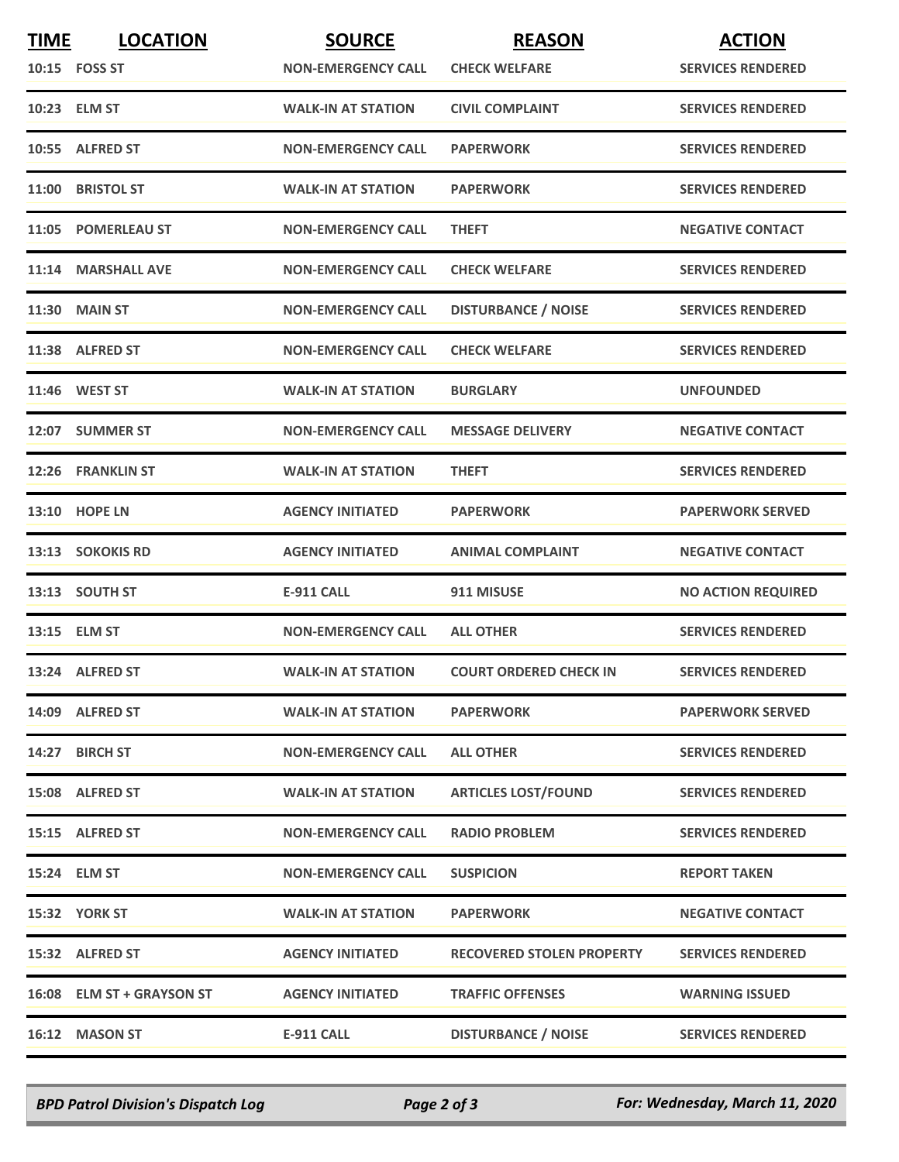| <b>TIME</b> | <b>LOCATION</b>           | <b>SOURCE</b>             | <b>REASON</b>                    | <b>ACTION</b>             |
|-------------|---------------------------|---------------------------|----------------------------------|---------------------------|
|             | 10:15    FOSS ST          | <b>NON-EMERGENCY CALL</b> | <b>CHECK WELFARE</b>             | <b>SERVICES RENDERED</b>  |
|             | 10:23 ELM ST              | <b>WALK-IN AT STATION</b> | <b>CIVIL COMPLAINT</b>           | <b>SERVICES RENDERED</b>  |
|             | 10:55 ALFRED ST           | <b>NON-EMERGENCY CALL</b> | <b>PAPERWORK</b>                 | <b>SERVICES RENDERED</b>  |
|             | 11:00 BRISTOL ST          | <b>WALK-IN AT STATION</b> | <b>PAPERWORK</b>                 | <b>SERVICES RENDERED</b>  |
|             | 11:05 POMERLEAU ST        | <b>NON-EMERGENCY CALL</b> | <b>THEFT</b>                     | <b>NEGATIVE CONTACT</b>   |
|             | 11:14 MARSHALL AVE        | <b>NON-EMERGENCY CALL</b> | <b>CHECK WELFARE</b>             | <b>SERVICES RENDERED</b>  |
|             | <b>11:30 MAIN ST</b>      | <b>NON-EMERGENCY CALL</b> | <b>DISTURBANCE / NOISE</b>       | <b>SERVICES RENDERED</b>  |
|             | 11:38 ALFRED ST           | <b>NON-EMERGENCY CALL</b> | <b>CHECK WELFARE</b>             | <b>SERVICES RENDERED</b>  |
|             | 11:46 WEST ST             | <b>WALK-IN AT STATION</b> | <b>BURGLARY</b>                  | <b>UNFOUNDED</b>          |
|             | 12:07 SUMMER ST           | <b>NON-EMERGENCY CALL</b> | <b>MESSAGE DELIVERY</b>          | <b>NEGATIVE CONTACT</b>   |
|             | 12:26 FRANKLIN ST         | <b>WALK-IN AT STATION</b> | <b>THEFT</b>                     | <b>SERVICES RENDERED</b>  |
|             | <b>13:10 HOPE LN</b>      | <b>AGENCY INITIATED</b>   | <b>PAPERWORK</b>                 | <b>PAPERWORK SERVED</b>   |
|             | 13:13 SOKOKIS RD          | <b>AGENCY INITIATED</b>   | <b>ANIMAL COMPLAINT</b>          | <b>NEGATIVE CONTACT</b>   |
|             | 13:13 SOUTH ST            | <b>E-911 CALL</b>         | 911 MISUSE                       | <b>NO ACTION REQUIRED</b> |
|             | 13:15 ELM ST              | <b>NON-EMERGENCY CALL</b> | <b>ALL OTHER</b>                 | <b>SERVICES RENDERED</b>  |
|             | 13:24 ALFRED ST           | <b>WALK-IN AT STATION</b> | <b>COURT ORDERED CHECK IN</b>    | <b>SERVICES RENDERED</b>  |
|             | 14:09 ALFRED ST           | <b>WALK-IN AT STATION</b> | <b>PAPERWORK</b>                 | <b>PAPERWORK SERVED</b>   |
|             | 14:27 BIRCH ST            | <b>NON-EMERGENCY CALL</b> | <b>ALL OTHER</b>                 | <b>SERVICES RENDERED</b>  |
|             | 15:08 ALFRED ST           | <b>WALK-IN AT STATION</b> | <b>ARTICLES LOST/FOUND</b>       | <b>SERVICES RENDERED</b>  |
|             | 15:15 ALFRED ST           | <b>NON-EMERGENCY CALL</b> | <b>RADIO PROBLEM</b>             | <b>SERVICES RENDERED</b>  |
|             | 15:24 ELM ST              | <b>NON-EMERGENCY CALL</b> | <b>SUSPICION</b>                 | <b>REPORT TAKEN</b>       |
|             | 15:32 YORK ST             | <b>WALK-IN AT STATION</b> | <b>PAPERWORK</b>                 | <b>NEGATIVE CONTACT</b>   |
|             | 15:32 ALFRED ST           | <b>AGENCY INITIATED</b>   | <b>RECOVERED STOLEN PROPERTY</b> | <b>SERVICES RENDERED</b>  |
|             | 16:08 ELM ST + GRAYSON ST | <b>AGENCY INITIATED</b>   | <b>TRAFFIC OFFENSES</b>          | <b>WARNING ISSUED</b>     |
|             | 16:12 MASON ST            | <b>E-911 CALL</b>         | <b>DISTURBANCE / NOISE</b>       | <b>SERVICES RENDERED</b>  |

*BPD Patrol Division's Dispatch Log Page 2 of 3 For: Wednesday, March 11, 2020*